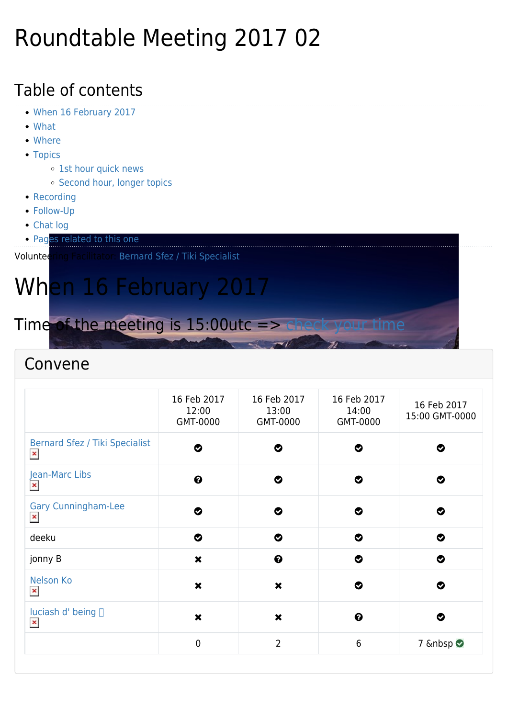### Roundtable Meeting 2017 02

### Table of contents

- [When 16 February 2017](#page--1-0)
- [What](#page--1-0)
- [Where](#page--1-0)
- [Topics](#page--1-0)
	- o [1st hour quick news](#page--1-0)
	- o [Second hour, longer topics](#page--1-0)
- [Recording](#page--1-0)
- [Follow-Up](#page--1-0)
- [Chat log](#page--1-0)
- **[Pages related to this one](#page--1-0)**

Volunteering Facilitator: [Bernard Sfez / Tiki Specialist](https://tiki.org/user1974)

# When 16 February 2017

Time of the meeting is 15:00utc => [check your time](https://www.timeanddate.com/worldclock/fixedtime.html?msg=Tiki+Wiki+RoundTable&iso=20170216T15&p1=%3A&ah=2)

### Convene

|                                                         | 16 Feb 2017<br>12:00<br>GMT-0000 | 16 Feb 2017<br>13:00<br>GMT-0000 | 16 Feb 2017<br>14:00<br>GMT-0000 | 16 Feb 2017<br>15:00 GMT-0000 |
|---------------------------------------------------------|----------------------------------|----------------------------------|----------------------------------|-------------------------------|
| <b>Bernard Sfez / Tiki Specialist</b><br>$\pmb{\times}$ | ◔                                | ల                                | ◙                                | Ø                             |
| Jean-Marc Libs<br>$\pmb{\times}$                        | $\boldsymbol{\Theta}$            | ◔                                | ◔                                | ◙                             |
| <b>Gary Cunningham-Lee</b><br>$\pmb{\times}$            | Ø                                | ◎                                | ల                                | ల                             |
| deeku                                                   | ◎                                | $\bullet$                        | ◔                                | $\bullet$                     |
| jonny B                                                 | $\pmb{\times}$                   | $\boldsymbol{\Theta}$            | ◔                                | ◔                             |
| <b>Nelson Ko</b><br>$\pmb{\times}$                      | $\boldsymbol{\mathsf{x}}$        | $\boldsymbol{\mathsf{x}}$        | Ø                                | Ø                             |
| luciash d' being □<br>$\pmb{\times}$                    | $\boldsymbol{\mathsf{x}}$        | $\boldsymbol{\mathsf{x}}$        | ❸                                | Ø                             |
|                                                         | $\mathbf 0$                      | $\overline{2}$                   | 6                                | 7 <b>⊘</b>                    |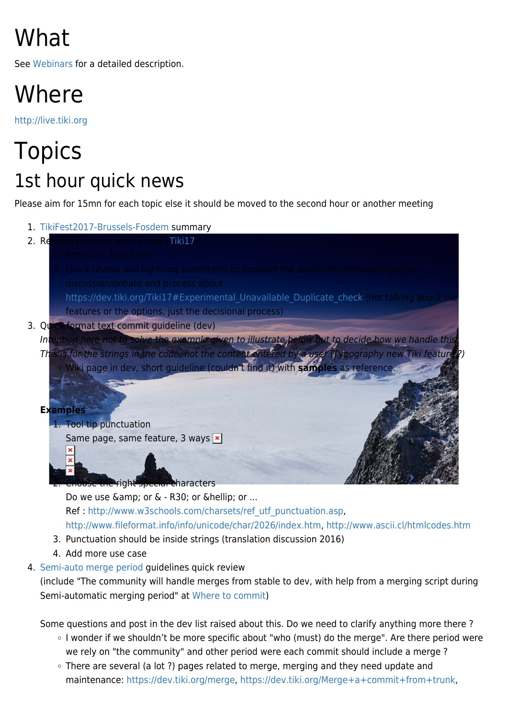# What

See [Webinars](https://tiki.org/Roundtable-Meetings) for a detailed description.

### Where

<http://live.tiki.org>

## **Topics** 1st hour quick news

Please aim for 15mn for each topic else it should be moved to the second hour or another meeting

1. [TikiFest2017-Brussels-Fosdem](https://tiki.org/TikiFest2017-Brussels-Fosdem) summary 2. Release process, what's next ([Tiki17\)](https://dev.tiki.org/Tiki17) https://dev.tiki.org/Tiki17#Experimental Unavailable Duplicate check (not talking about the features or the options, just the decisional process) 3. Quick format text commit guideline (dev) Intention here not to solve the example given to illustrate below but to decide how we handle this This is for the strings in the code, not the content entered by a user (Typography new Tiki feature Wiki page in dev, short guideline (couldn't find it) with **samples** as reference. ... **Examples** 1. Tool tip punctuation Same page, same feature, 3 ways  $\vert \cdot \vert$ he right special characters

Do we use  $\&$ amp; or  $&$  - R30; or  $&$ hellip; or ... Ref : [http://www.w3schools.com/charsets/ref\\_utf\\_punctuation.asp,](http://www.w3schools.com/charsets/ref_utf_punctuation.asp) <http://www.fileformat.info/info/unicode/char/2026/index.htm>, <http://www.ascii.cl/htmlcodes.htm>

- 3. Punctuation should be inside strings (translation discussion 2016)
- 4. Add more use case
- 4. [Semi-auto merge period](https://dev.tiki.org/Semi-automatic+merging+period) guidelines quick review

(include "The community will handle merges from stable to dev, with help from a merging script during Semi-automatic merging period" at [Where to commit](https://dev.tiki.org/Where+to+commit))

Some questions and post in the dev list raised about this. Do we need to clarify anything more there ?

- I wonder if we shouldn't be more specific about "who (must) do the merge". Are there period were we rely on "the community" and other period were each commit should include a merge ?
- There are several (a lot ?) pages related to merge, merging and they need update and maintenance:<https://dev.tiki.org/merge>, [https://dev.tiki.org/Merge+a+commit+from+trunk,](https://dev.tiki.org/Merge+a+commit+from+trunk)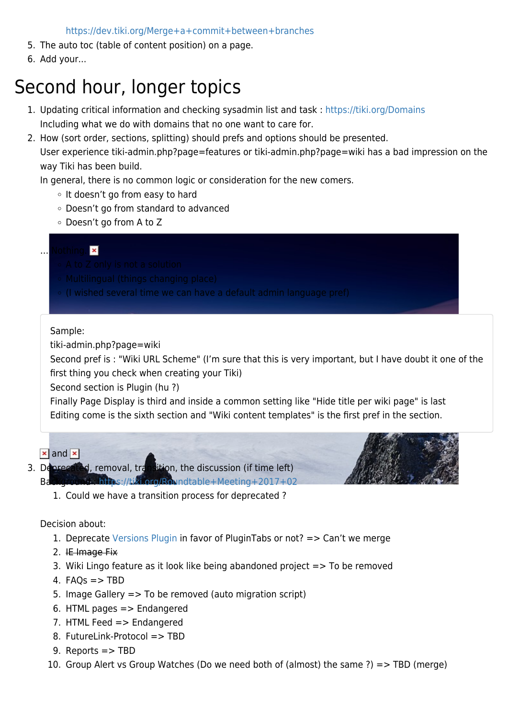<https://dev.tiki.org/Merge+a+commit+between+branches>

- 5. The auto toc (table of content position) on a page.
- 6. Add your...

### Second hour, longer topics

- 1. Updating critical information and checking sysadmin list and task :<https://tiki.org/Domains> Including what we do with domains that no one want to care for.
- 2. How (sort order, sections, splitting) should prefs and options should be presented. User experience tiki-admin.php?page=features or tiki-admin.php?page=wiki has a bad impression on the way Tiki has been build.

In general, there is no common logic or consideration for the new comers.

- o It doesn't go from easy to hard
- Doesn't go from standard to advanced
- Doesn't go from A to Z

#### … Nothing.

- 
- 
- $\circ$  (I wished several time we can have a default admin language pref)

#### Sample:

tiki-admin.php?page=wiki

Second pref is : "Wiki URL Scheme" (I'm sure that this is very important, but I have doubt it one of the first thing you check when creating your Tiki)

Second section is Plugin (hu ?)

Finally Page Display is third and inside a common setting like "Hide title per wiki page" is last Editing come is the sixth section and "Wiki content templates" is the first pref in the section.

#### $\vert x \vert$  $\vert x \vert$  $\vert x \vert$  [a](https://tiki.org/dl1162?display)nd  $\vert x \vert$

- 3. Deprecated, removal, transition, the discussion (if time left)
	- Background : <https://tiki.org/Roundtable+Meeting+2017+02>
		- 1. Could we have a transition process for deprecated ?

#### Decision about:

- 1. Deprecate [Versions Plugin](https://doc.tiki.org/PluginVersions) in favor of PluginTabs or not? => Can't we merge
- 2. IE Image Fix
- 3. Wiki Lingo feature as it look like being abandoned project => To be removed
- 4. FAQs  $\Rightarrow$  TBD
- 5. Image Gallery => To be removed (auto migration script)
- 6. HTML pages => Endangered
- 7. HTML Feed => Endangered
- 8. FutureLink-Protocol => TBD
- 9. Reports => TBD
- 10. Group Alert vs Group Watches (Do we need both of (almost) the same ?) => TBD (merge)